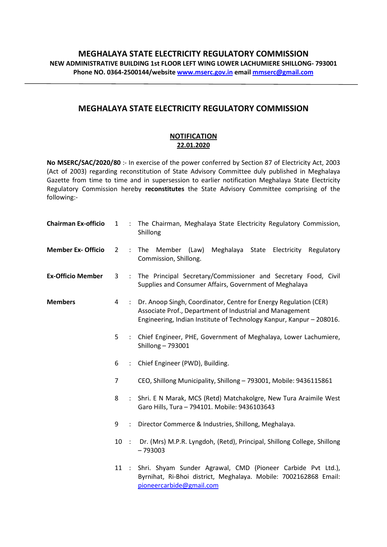## MEGHALAYA STATE ELECTRICITY REGULATORY COMMISSION

## **NOTIFICATION** 22.01.2020

No MSERC/SAC/2020/80 :- In exercise of the power conferred by Section 87 of Electricity Act, 2003 (Act of 2003) regarding reconstitution of State Advisory Committee duly published in Meghalaya Gazette from time to time and in supersession to earlier notification Meghalaya State Electricity Regulatory Commission hereby reconstitutes the State Advisory Committee comprising of the following:-

| <b>Chairman Ex-officio</b> | $\mathbf{1}$   |                      | : The Chairman, Meghalaya State Electricity Regulatory Commission,<br>Shillong                                                                                                                         |
|----------------------------|----------------|----------------------|--------------------------------------------------------------------------------------------------------------------------------------------------------------------------------------------------------|
| <b>Member Ex- Officio</b>  | $\overline{2}$ |                      | Member (Law)<br>Meghalaya State Electricity Regulatory<br>: The<br>Commission, Shillong.                                                                                                               |
| <b>Ex-Officio Member</b>   | 3              |                      | : The Principal Secretary/Commissioner and Secretary Food, Civil<br>Supplies and Consumer Affairs, Government of Meghalaya                                                                             |
| <b>Members</b>             | 4              |                      | : Dr. Anoop Singh, Coordinator, Centre for Energy Regulation (CER)<br>Associate Prof., Department of Industrial and Management<br>Engineering, Indian Institute of Technology Kanpur, Kanpur - 208016. |
|                            | 5              | $\ddot{\cdot}$       | Chief Engineer, PHE, Government of Meghalaya, Lower Lachumiere,<br>Shillong - 793001                                                                                                                   |
|                            | 6              |                      | : Chief Engineer (PWD), Building.                                                                                                                                                                      |
|                            | 7              |                      | CEO, Shillong Municipality, Shillong - 793001, Mobile: 9436115861                                                                                                                                      |
|                            | 8              |                      | : Shri. E N Marak, MCS (Retd) Matchakolgre, New Tura Araimile West<br>Garo Hills, Tura - 794101. Mobile: 9436103643                                                                                    |
|                            | 9              | $\ddot{\phantom{a}}$ | Director Commerce & Industries, Shillong, Meghalaya.                                                                                                                                                   |
|                            | $10$ :         |                      | Dr. (Mrs) M.P.R. Lyngdoh, (Retd), Principal, Shillong College, Shillong<br>$-793003$                                                                                                                   |
|                            |                |                      | 11 : Shri. Shyam Sunder Agrawal, CMD (Pioneer Carbide Pvt Ltd.),<br>Byrnihat, Ri-Bhoi district, Meghalaya. Mobile: 7002162868 Email:<br>pioneercarbide@gmail.com                                       |